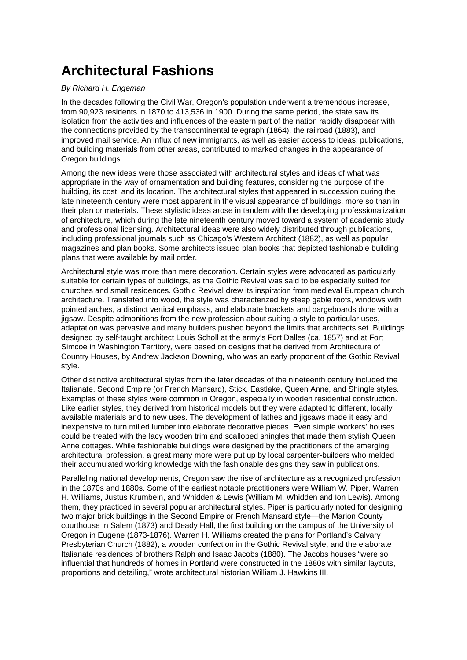## **Architectural Fashions**

## By Richard H. Engeman

In the decades following the Civil War, Oregon's population underwent a tremendous increase, from 90,923 residents in 1870 to 413,536 in 1900. During the same period, the state saw its isolation from the activities and influences of the eastern part of the nation rapidly disappear with the connections provided by the transcontinental telegraph (1864), the railroad (1883), and improved mail service. An influx of new immigrants, as well as easier access to ideas, publications, and building materials from other areas, contributed to marked changes in the appearance of Oregon buildings.

Among the new ideas were those associated with architectural styles and ideas of what was appropriate in the way of ornamentation and building features, considering the purpose of the building, its cost, and its location. The architectural styles that appeared in succession during the late nineteenth century were most apparent in the visual appearance of buildings, more so than in their plan or materials. These stylistic ideas arose in tandem with the developing professionalization of architecture, which during the late nineteenth century moved toward a system of academic study and professional licensing. Architectural ideas were also widely distributed through publications, including professional journals such as Chicago's Western Architect (1882), as well as popular magazines and plan books. Some architects issued plan books that depicted fashionable building plans that were available by mail order.

Architectural style was more than mere decoration. Certain styles were advocated as particularly suitable for certain types of buildings, as the Gothic Revival was said to be especially suited for churches and small residences. Gothic Revival drew its inspiration from medieval European church architecture. Translated into wood, the style was characterized by steep gable roofs, windows with pointed arches, a distinct vertical emphasis, and elaborate brackets and bargeboards done with a jigsaw. Despite admonitions from the new profession about suiting a style to particular uses, adaptation was pervasive and many builders pushed beyond the limits that architects set. Buildings designed by self-taught architect Louis Scholl at the army's Fort Dalles (ca. 1857) and at Fort Simcoe in Washington Territory, were based on designs that he derived from Architecture of Country Houses, by Andrew Jackson Downing, who was an early proponent of the Gothic Revival style.

Other distinctive architectural styles from the later decades of the nineteenth century included the Italianate, Second Empire (or French Mansard), Stick, Eastlake, Queen Anne, and Shingle styles. Examples of these styles were common in Oregon, especially in wooden residential construction. Like earlier styles, they derived from historical models but they were adapted to different, locally available materials and to new uses. The development of lathes and jigsaws made it easy and inexpensive to turn milled lumber into elaborate decorative pieces. Even simple workers' houses could be treated with the lacy wooden trim and scalloped shingles that made them stylish Queen Anne cottages. While fashionable buildings were designed by the practitioners of the emerging architectural profession, a great many more were put up by local carpenter-builders who melded their accumulated working knowledge with the fashionable designs they saw in publications.

Paralleling national developments, Oregon saw the rise of architecture as a recognized profession in the 1870s and 1880s. Some of the earliest notable practitioners were William W. Piper, Warren H. Williams, Justus Krumbein, and Whidden & Lewis (William M. Whidden and Ion Lewis). Among them, they practiced in several popular architectural styles. Piper is particularly noted for designing two major brick buildings in the Second Empire or French Mansard style—the Marion County courthouse in Salem (1873) and Deady Hall, the first building on the campus of the University of Oregon in Eugene (1873-1876). Warren H. Williams created the plans for Portland's Calvary Presbyterian Church (1882), a wooden confection in the Gothic Revival style, and the elaborate Italianate residences of brothers Ralph and Isaac Jacobs (1880). The Jacobs houses "were so influential that hundreds of homes in Portland were constructed in the 1880s with similar layouts, proportions and detailing," wrote architectural historian William J. Hawkins III.